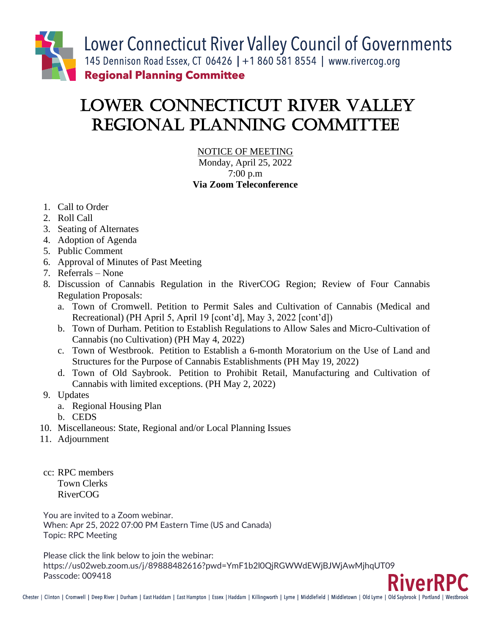

## LOWER Connecticut River VALLEY REGIONAL PLANNING COMMITTEE

NOTICE OF MEETING Monday, April 25, 2022 7:00 p.m **Via Zoom Teleconference**

- 1. Call to Order
- 2. Roll Call
- 3. Seating of Alternates
- 4. Adoption of Agenda
- 5. Public Comment
- 6. Approval of Minutes of Past Meeting
- 7. Referrals None
- 8. Discussion of Cannabis Regulation in the RiverCOG Region; Review of Four Cannabis Regulation Proposals:
	- a. Town of Cromwell. Petition to Permit Sales and Cultivation of Cannabis (Medical and Recreational) (PH April 5, April 19 [cont'd], May 3, 2022 [cont'd])
	- b. Town of Durham. Petition to Establish Regulations to Allow Sales and Micro-Cultivation of Cannabis (no Cultivation) (PH May 4, 2022)
	- c. Town of Westbrook. Petition to Establish a 6-month Moratorium on the Use of Land and Structures for the Purpose of Cannabis Establishments (PH May 19, 2022)
	- d. Town of Old Saybrook. Petition to Prohibit Retail, Manufacturing and Cultivation of Cannabis with limited exceptions. (PH May 2, 2022)
- 9. Updates
	- a. Regional Housing Plan
	- b. CEDS
- 10. Miscellaneous: State, Regional and/or Local Planning Issues
- 11. Adjournment
- cc: RPC members Town Clerks RiverCOG

You are invited to a Zoom webinar. When: Apr 25, 2022 07:00 PM Eastern Time (US and Canada) Topic: RPC Meeting

Please click the link below to join the webinar: https://us02web.zoom.us/j/89888482616?pwd=YmF1b2l0QjRGWWdEWjBJWjAwMjhqUT09 Passcode: 009418